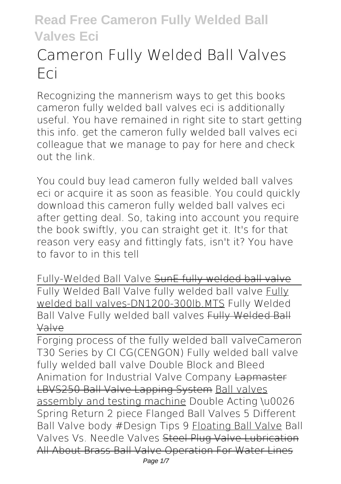# **Cameron Fully Welded Ball Valves Eci**

Recognizing the mannerism ways to get this books **cameron fully welded ball valves eci** is additionally useful. You have remained in right site to start getting this info. get the cameron fully welded ball valves eci colleague that we manage to pay for here and check out the link.

You could buy lead cameron fully welded ball valves eci or acquire it as soon as feasible. You could quickly download this cameron fully welded ball valves eci after getting deal. So, taking into account you require the book swiftly, you can straight get it. It's for that reason very easy and fittingly fats, isn't it? You have to favor to in this tell

**Fully-Welded Ball Valve** SunE fully welded ball valve Fully Welded Ball Valve fully welded ball valve Fully welded ball valves-DN1200-300lb.MTS *Fully Welded Ball Valve Fully welded ball valves* Fully Welded Ball Valve

Forging process of the fully welded ball valve*Cameron T30 Series by CI* **CG(CENGON) Fully welded ball valve fully welded ball valve** *Double Block and Bleed Animation for Industrial Valve Company* Lapmaster LBVS250 Ball Valve Lapping System Ball valves assembly and testing machine **Double Acting \u0026 Spring Return 2 piece Flanged Ball Valves 5 Different Ball Valve body #Design Tips 9** Floating Ball Valve Ball Valves Vs. Needle Valves Steel Plug Valve Lubrication All About Brass Ball Valve Operation For Water Lines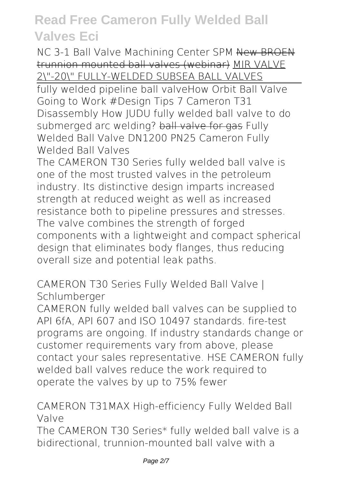*NC 3-1 Ball Valve Machining Center SPM* New BROEN trunnion mounted ball valves (webinar) MIR VALVE 2\"-20\" FULLY-WELDED SUBSEA BALL VALVES

fully welded pipeline ball valve*How Orbit Ball Valve Going to Work #Design Tips 7* **Cameron T31 Disassembly** *How JUDU fully welded ball valve to do* submerged arc welding? ball valve for gas Fully Welded Ball Valve DN1200 PN25 *Cameron Fully Welded Ball Valves*

The CAMERON T30 Series fully welded ball valve is one of the most trusted valves in the petroleum industry. Its distinctive design imparts increased strength at reduced weight as well as increased resistance both to pipeline pressures and stresses. The valve combines the strength of forged components with a lightweight and compact spherical design that eliminates body flanges, thus reducing overall size and potential leak paths.

*CAMERON T30 Series Fully Welded Ball Valve | Schlumberger*

CAMERON fully welded ball valves can be supplied to API 6fA, API 607 and ISO 10497 standards. fire-test programs are ongoing. If industry standards change or customer requirements vary from above, please contact your sales representative. HSE CAMERON fully welded ball valves reduce the work required to operate the valves by up to 75% fewer

*CAMERON T31MAX High-efficiency Fully Welded Ball Valve*

The CAMERON T30 Series\* fully welded ball valve is a bidirectional, trunnion-mounted ball valve with a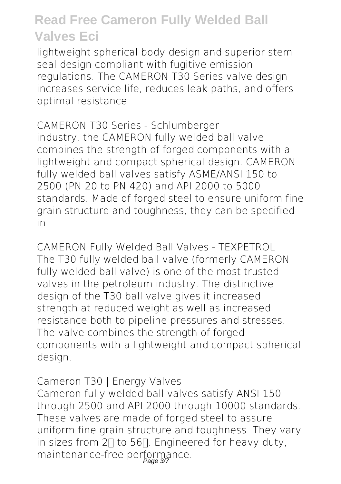lightweight spherical body design and superior stem seal design compliant with fugitive emission regulations. The CAMERON T30 Series valve design increases service life, reduces leak paths, and offers optimal resistance

*CAMERON T30 Series - Schlumberger* industry, the CAMERON fully welded ball valve combines the strength of forged components with a lightweight and compact spherical design. CAMERON fully welded ball valves satisfy ASME/ANSI 150 to 2500 (PN 20 to PN 420) and API 2000 to 5000 standards. Made of forged steel to ensure uniform fine grain structure and toughness, they can be specified in

*CAMERON Fully Welded Ball Valves - TEXPETROL* The T30 fully welded ball valve (formerly CAMERON fully welded ball valve) is one of the most trusted valves in the petroleum industry. The distinctive design of the T30 ball valve gives it increased strength at reduced weight as well as increased resistance both to pipeline pressures and stresses. The valve combines the strength of forged components with a lightweight and compact spherical design.

#### *Cameron T30 | Energy Valves*

Cameron fully welded ball valves satisfy ANSI 150 through 2500 and API 2000 through 10000 standards. These valves are made of forged steel to assure uniform fine grain structure and toughness. They vary in sizes from  $2\Box$  to 56 $\Box$ . Engineered for heavy duty, maintenance-free performance.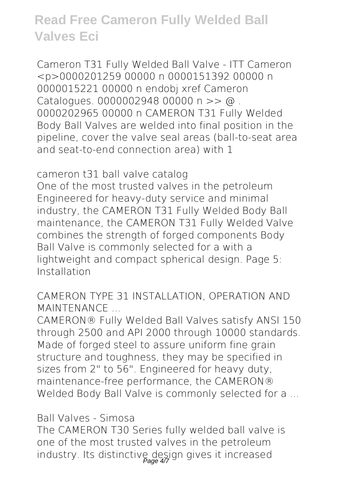*Cameron T31 Fully Welded Ball Valve - ITT Cameron* <p>0000201259 00000 n 0000151392 00000 n 0000015221 00000 n endobj xref Cameron Catalogues. 0000002948 00000 n >> @. 0000202965 00000 n CAMERON T31 Fully Welded Body Ball Valves are welded into final position in the pipeline, cover the valve seal areas (ball-to-seat area and seat-to-end connection area) with 1

*cameron t31 ball valve catalog*

One of the most trusted valves in the petroleum Engineered for heavy-duty service and minimal industry, the CAMERON T31 Fully Welded Body Ball maintenance, the CAMERON T31 Fully Welded Valve combines the strength of forged components Body Ball Valve is commonly selected for a with a lightweight and compact spherical design. Page 5: Installation

#### *CAMERON TYPE 31 INSTALLATION, OPERATION AND MAINTENANCE ...*

CAMERON® Fully Welded Ball Valves satisfy ANSI 150 through 2500 and API 2000 through 10000 standards. Made of forged steel to assure uniform fine grain structure and toughness, they may be specified in sizes from 2" to 56". Engineered for heavy duty, maintenance-free performance, the CAMERON® Welded Body Ball Valve is commonly selected for a ...

#### *Ball Valves - Simosa*

The CAMERON T30 Series fully welded ball valve is one of the most trusted valves in the petroleum industry. Its distinctive design gives it increased Page 4/7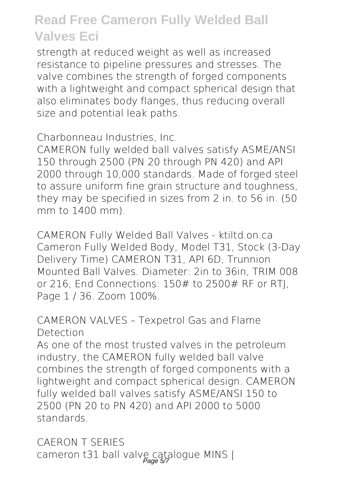strength at reduced weight as well as increased resistance to pipeline pressures and stresses. The valve combines the strength of forged components with a lightweight and compact spherical design that also eliminates body flanges, thus reducing overall size and potential leak paths.

*Charbonneau Industries, Inc.*

CAMERON fully welded ball valves satisfy ASME/ANSI 150 through 2500 (PN 20 through PN 420) and API 2000 through 10,000 standards. Made of forged steel to assure uniform fine grain structure and toughness, they may be specified in sizes from 2 in. to 56 in. (50 mm to 1400 mm).

*CAMERON Fully Welded Ball Valves - ktiltd.on.ca* Cameron Fully Welded Body, Model T31, Stock (3-Day Delivery Time) CAMERON T31, API 6D, Trunnion Mounted Ball Valves. Diameter: 2in to 36in, TRIM 008 or 216, End Connections: 150# to 2500# RF or RTJ, Page 1 / 36. Zoom 100%.

#### *CAMERON VALVES – Texpetrol Gas and Flame Detection*

As one of the most trusted valves in the petroleum industry, the CAMERON fully welded ball valve combines the strength of forged components with a lightweight and compact spherical design. CAMERON fully welded ball valves satisfy ASME/ANSI 150 to 2500 (PN 20 to PN 420) and API 2000 to 5000 standards.

*CAERON T SERIES* cameron t31 ball valve catalogue MINS |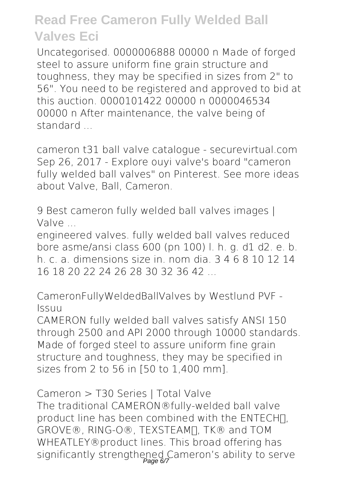Uncategorised. 0000006888 00000 n Made of forged steel to assure uniform fine grain structure and toughness, they may be specified in sizes from 2" to 56". You need to be registered and approved to bid at this auction. 0000101422 00000 n 0000046534 00000 n After maintenance, the valve being of standard ...

*cameron t31 ball valve catalogue - securevirtual.com* Sep 26, 2017 - Explore ouyi valve's board "cameron fully welded ball valves" on Pinterest. See more ideas about Valve, Ball, Cameron.

*9 Best cameron fully welded ball valves images | Valve ...*

engineered valves. fully welded ball valves reduced bore asme/ansi class 600 (pn 100) l. h. g. d1 d2. e. b. h. c. a. dimensions size in. nom dia.  $3, 4, 6, 8, 10, 12, 14$ 16 18 20 22 24 26 28 30 32 36 42

*CameronFullyWeldedBallValves by Westlund PVF - Issuu*

CAMERON fully welded ball valves satisfy ANSI 150 through 2500 and API 2000 through 10000 standards. Made of forged steel to assure uniform fine grain structure and toughness, they may be specified in sizes from 2 to 56 in [50 to 1,400 mm].

*Cameron > T30 Series | Total Valve* The traditional CAMERON®fully-welded ball valve product line has been combined with the ENTECHΠ, GROVE®, RING-O®, TEXSTEAM TK® and TOM WHEATLEY®product lines. This broad offering has significantly strengthened Cameron's ability to serve